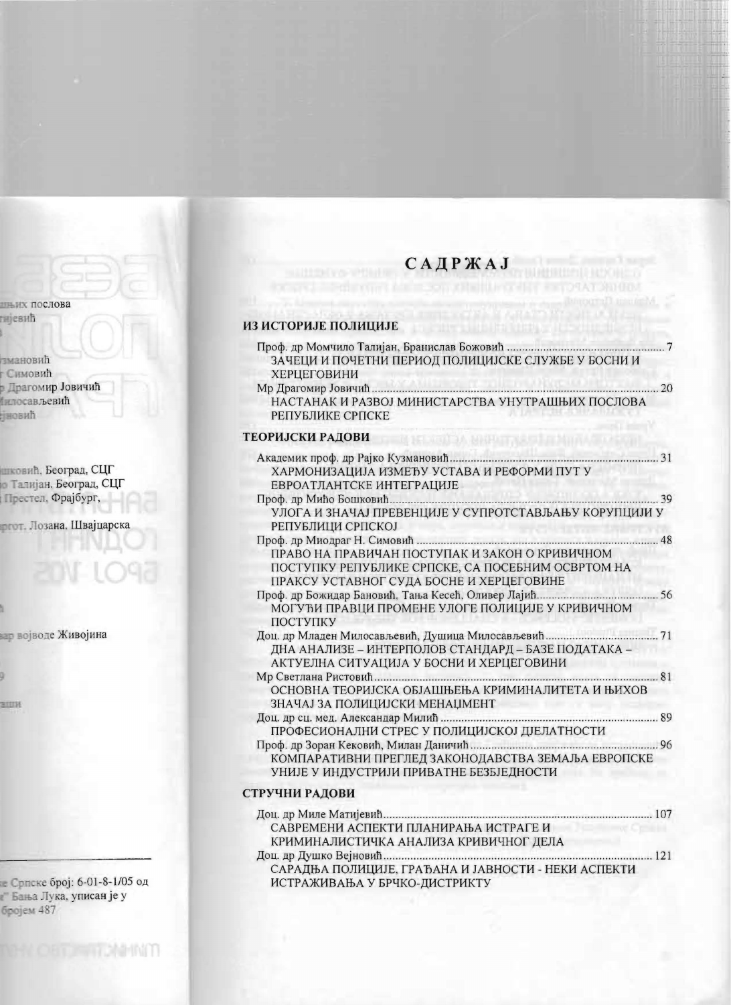## **САДРЖАЈ**

## ИЗ ИСТОРИЈЕ ПОЛИЦИЈЕ

 $\begin{array}{c}\n\text{T}\n\end{array}$ 

| ЗАЧЕЦИ И ПОЧЕТНИ ПЕРИОД ПОЛИЦИЈСКЕ СЛУЖБЕ У БОСНИ И<br><b>ХЕРЦЕГОВИНИ</b>                                                                       |  |
|-------------------------------------------------------------------------------------------------------------------------------------------------|--|
| $\ldots$ 20<br>НАСТАНАК И РАЗВОЈ МИНИСТАРСТВА УНУТРАШЊИХ ПОСЛОВА<br>РЕПУБЛИКЕ СРПСКЕ                                                            |  |
| ТЕОРИЈСКИ РАДОВИ<br><b>Charles Mark</b>                                                                                                         |  |
| ХАРМОНИЗАЦИЈА ИЗМЕЂУ УСТАВА И РЕФОРМИ ПУТ У<br>ЕВРОАТЛАНТСКЕ ИНТЕГРАЦИЈЕ                                                                        |  |
| УЛОГА И ЗНАЧАЈ ПРЕВЕНЦИЈЕ У СУПРОТСТАВЉАЊУ КОРУПЦИЈИ У<br>РЕПУБЛИЦИ СРПСКОЈ<br><b>Service Street</b>                                            |  |
| ПРАВО НА ПРАВИЧАН ПОСТУПАК И ЗАКОН О КРИВИЧНОМ<br>ПОСТУПКУ РЕПУБЛИКЕ СРПСКЕ, СА ПОСЕБНИМ ОСВРТОМ НА<br>ПРАКСУ УСТАВНОГ СУДА БОСНЕ И ХЕРЦЕГОВИНЕ |  |
| МОГУЋИ ПРАВЦИ ПРОМЕНЕ УЛОГЕ ПОЛИЦИЈЕ У КРИВИЧНОМ<br>ПОСТУПКУ                                                                                    |  |
| ДНА АНАЛИЗЕ – ИНТЕРПОЛОВ СТАНДАРД – БАЗЕ ПОДАТАКА –<br>АКТУЕЛНА СИТУАЦИЈА У БОСНИ И ХЕРЦЕГОВИНИ                                                 |  |
| ОСНОВНА ТЕОРИЈСКА ОБЈАШЊЕЊА КРИМИНАЛИТЕТА И ЊИХОВ<br>ЗНАЧАЈ ЗА ПОЛИЦИЈСКИ МЕНАЏМЕНТ<br><b>ALL THROOT</b>                                        |  |
| ПРОФЕСИОНАЛНИ СТРЕС У ПОЛИЦИЈСКОЈ ДЈЕЛАТНОСТИ                                                                                                   |  |
| КОМПАРАТИВНИ ПРЕГЛЕД ЗАКОНОДАВСТВА ЗЕМАЉА ЕВРОПСКЕ<br>УНИЈЕ У ИНДУСТРИЈИ ПРИВАТНЕ БЕЗБЈЕДНОСТИ                                                  |  |
| СТРУЧНИ РАДОВИ                                                                                                                                  |  |

| САВРЕМЕНИ АСПЕКТИ ПЛАНИРАЊА ИСТРАГЕ И               |  |
|-----------------------------------------------------|--|
| КРИМИНАЛИСТИЧКА АНАЛИЗА КРИВИЧНОГ ДЕЛА              |  |
|                                                     |  |
| САРАДЊА ПОЛИЦИЈЕ, ГРАЂАНА И ЈАВНОСТИ - НЕКИ АСПЕКТИ |  |
| ИСТРАЖИВАЊА У БРЧКО-ДИСТРИКТУ                       |  |